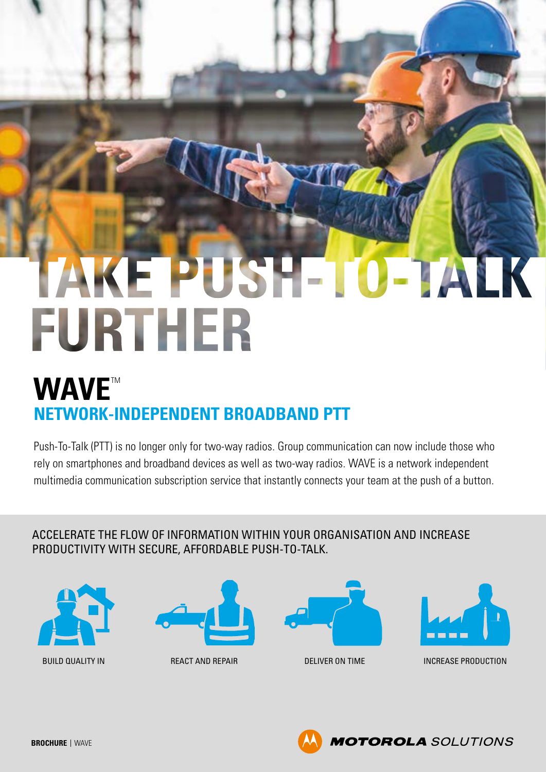# E PUSHETOETALK FURTHER

# **WAVE**™ **NETWORK-INDEPENDENT BROADBAND PTT**

Push-To-Talk (PTT) is no longer only for two-way radios. Group communication can now include those who rely on smartphones and broadband devices as well as two-way radios. WAVE is a network independent multimedia communication subscription service that instantly connects your team at the push of a button.

ACCELERATE THE FLOW OF INFORMATION WITHIN YOUR ORGANISATION AND INCREASE PRODUCTIVITY WITH SECURE, AFFORDABLE PUSH-TO-TALK.









BUILD QUALITY IN **REACT AND REPAIR DELIVER ON TIME** INCREASE PRODUCTION

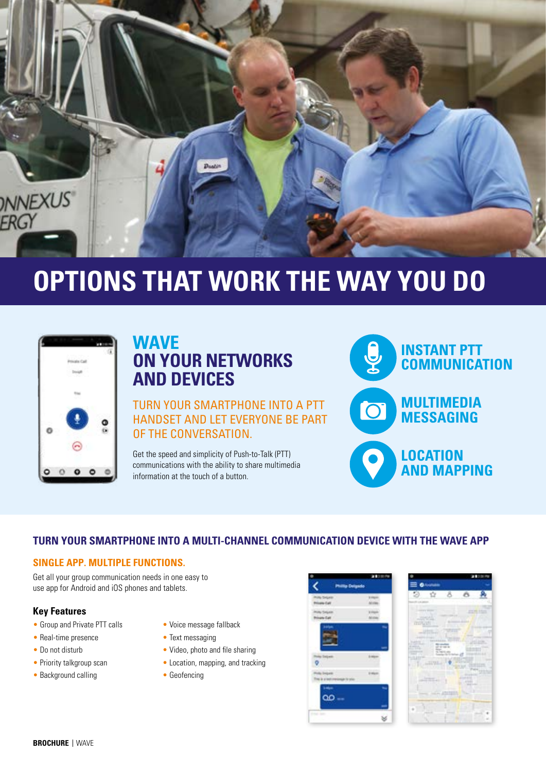

# **OPTIONS THAT WORK THE WAY YOU DO**



## **WAVE ON YOUR NETWORKS AND DEVICES**

TURN YOUR SMARTPHONE INTO A PTT HANDSET AND LET EVERYONE BE PART OF THE CONVERSATION.

Get the speed and simplicity of Push-to-Talk (PTT) communications with the ability to share multimedia information at the touch of a button.



#### **TURN YOUR SMARTPHONE INTO A MULTI-CHANNEL COMMUNICATION DEVICE WITH THE WAVE APP**

#### **SINGLE APP. MULTIPLE FUNCTIONS.**

Get all your group communication needs in one easy to use app for Android and iOS phones and tablets.

#### **Key Features**

- Group and Private PTT calls
- Real-time presence
- Do not disturb
- Priority talkgroup scan
- Background calling
- Voice message fallback
- Text messaging
- Video, photo and file sharing
- Location, mapping, and tracking
- Geofencing



|                                    | a service                          |               |        |  |  |  |
|------------------------------------|------------------------------------|---------------|--------|--|--|--|
| mouse                              | play the pres-                     |               |        |  |  |  |
|                                    | -<br><b>To Theate</b>              |               |        |  |  |  |
|                                    |                                    |               | ۰      |  |  |  |
| <b>DISPUTE</b><br>and the state of | ٠                                  |               |        |  |  |  |
| <br>ı                              | ÷<br>$\overline{\phantom{a}}$<br>۰ |               |        |  |  |  |
|                                    | <b>Killman</b>                     |               | ٠<br>I |  |  |  |
|                                    | <br>٠                              |               |        |  |  |  |
|                                    |                                    |               |        |  |  |  |
|                                    | -                                  |               |        |  |  |  |
|                                    |                                    |               |        |  |  |  |
|                                    |                                    |               |        |  |  |  |
|                                    |                                    | 1.7012.033.03 |        |  |  |  |
|                                    |                                    |               |        |  |  |  |
|                                    |                                    |               |        |  |  |  |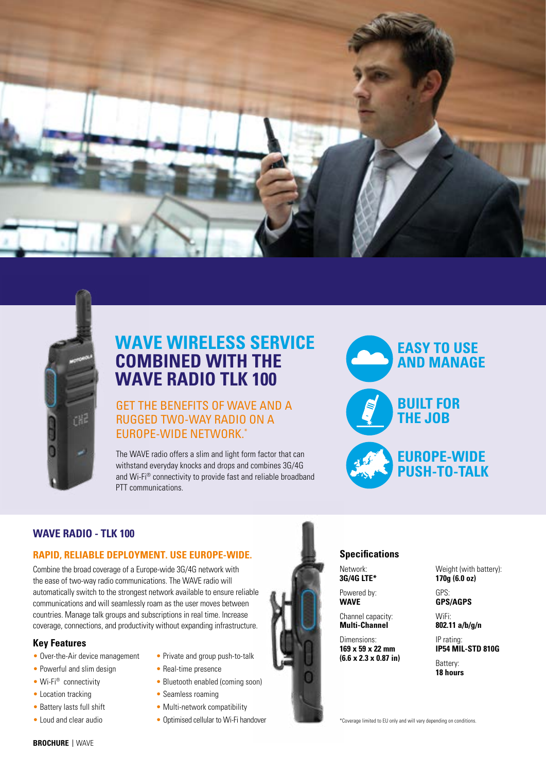



## **WAVE WIRELESS SERVICE COMBINED WITH THE WAVE RADIO TLK 100**

#### GET THE BENEFITS OF WAVE AND A RUGGED TWO-WAY RADIO ON A EUROPE-WIDE NETWORK.\*

The WAVE radio offers a slim and light form factor that can withstand everyday knocks and drops and combines 3G/4G and Wi-Fi® connectivity to provide fast and reliable broadband PTT communications.



#### **WAVE RADIO - TLK 100**

#### **RAPID, RELIABLE DEPLOYMENT. USE EUROPE-WIDE.**

Combine the broad coverage of a Europe-wide 3G/4G network with the ease of two-way radio communications. The WAVE radio will automatically switch to the strongest network available to ensure reliable communications and will seamlessly roam as the user moves between countries. Manage talk groups and subscriptions in real time. Increase coverage, connections, and productivity without expanding infrastructure.

#### **Key Features**

- Over-the-Air device management
- Powerful and slim design
- Wi-Fi® connectivity
- Location tracking
- Battery lasts full shift
- Loud and clear audio
- Private and group push-to-talk
- Real-time presence
- Bluetooth enabled (coming soon)
- Seamless roaming
- Multi-network compatibility
- Optimised cellular to Wi-Fi handover



#### **Specifications**

Network:

**3G/4G LTE\*** Powered by: **WAVE**

Channel capacity: **Multi-Channel**

Dimensions: **169 x 59 x 22 mm (6.6 x 2.3 x 0.87 in)**

Weight (with battery): **170g (6.0 oz)**

GPS: **GPS/AGPS**

WiFi: **802.11 a/b/g/n**

IP rating: **IP54 MIL-STD 810G**

Battery: **18 hours**

\*Coverage limited to EU only and will vary depending on conditions.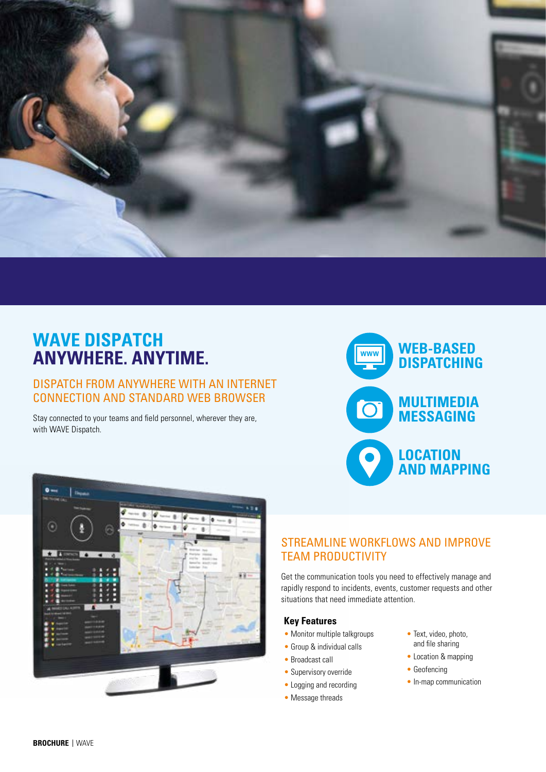

# **WAVE DISPATCH ANYWHERE. ANYTIME.**

#### DISPATCH FROM ANYWHERE WITH AN INTERNET CONNECTION AND STANDARD WEB BROWSER

Stay connected to your teams and field personnel, wherever they are, with WAVE Dispatch.





#### STREAMLINE WORKFLOWS AND IMPROVE TEAM PRODUCTIVITY

Get the communication tools you need to effectively manage and rapidly respond to incidents, events, customer requests and other situations that need immediate attention.

#### **Key Features**

- Monitor multiple talkgroups
- Group & individual calls
- Broadcast call
- Supervisory override
- Logging and recording
- Message threads
- Text, video, photo, and file sharing
- Location & mapping
- Geofencing
- In-map communication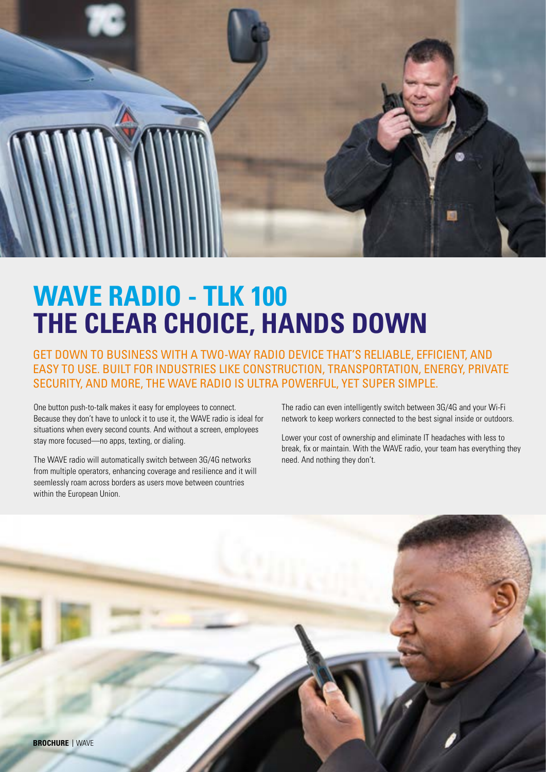

# **WAVE RADIO - TLK 100 THE CLEAR CHOICE, HANDS DOWN**

GET DOWN TO BUSINESS WITH A TWO-WAY RADIO DEVICE THAT'S RELIABLE, EFFICIENT, AND EASY TO USE. BUILT FOR INDUSTRIES LIKE CONSTRUCTION, TRANSPORTATION, ENERGY, PRIVATE SECURITY, AND MORE, THE WAVE RADIO IS ULTRA POWERFUL, YET SUPER SIMPLE.

One button push-to-talk makes it easy for employees to connect. Because they don't have to unlock it to use it, the WAVE radio is ideal for situations when every second counts. And without a screen, employees stay more focused—no apps, texting, or dialing.

The WAVE radio will automatically switch between 3G/4G networks from multiple operators, enhancing coverage and resilience and it will seemlessly roam across borders as users move between countries within the European Union.

The radio can even intelligently switch between 3G/4G and your Wi-Fi network to keep workers connected to the best signal inside or outdoors.

Lower your cost of ownership and eliminate IT headaches with less to break, fix or maintain. With the WAVE radio, your team has everything they need. And nothing they don't.

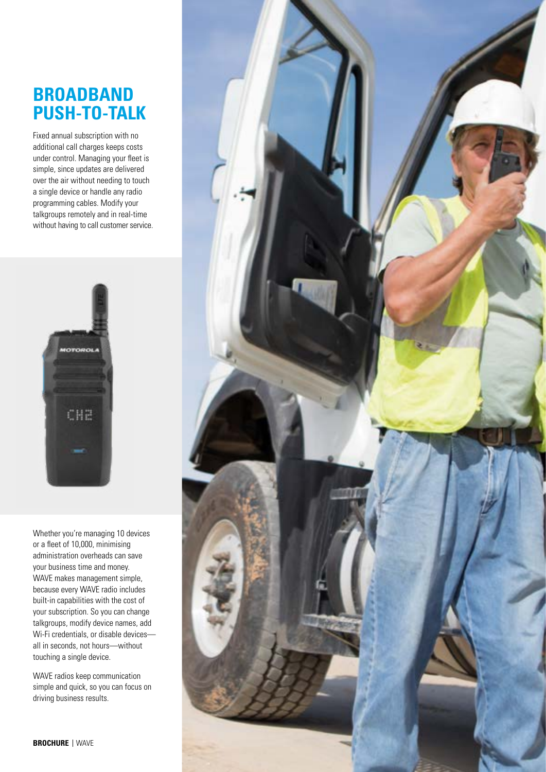## **BROADBAND PUSH-TO-TALK**

Fixed annual subscription with no additional call charges keeps costs under control. Managing your fleet is simple, since updates are delivered over the air without needing to touch a single device or handle any radio programming cables. Modify your talkgroups remotely and in real-time without having to call customer service.



Whether you're managing 10 devices or a fleet of 10,000, minimising administration overheads can save your business time and money. WAVE makes management simple, because every WAVE radio includes built-in capabilities with the cost of your subscription. So you can change talkgroups, modify device names, add Wi-Fi credentials, or disable devices all in seconds, not hours—without touching a single device.

WAVE radios keep communication simple and quick, so you can focus on driving business results.

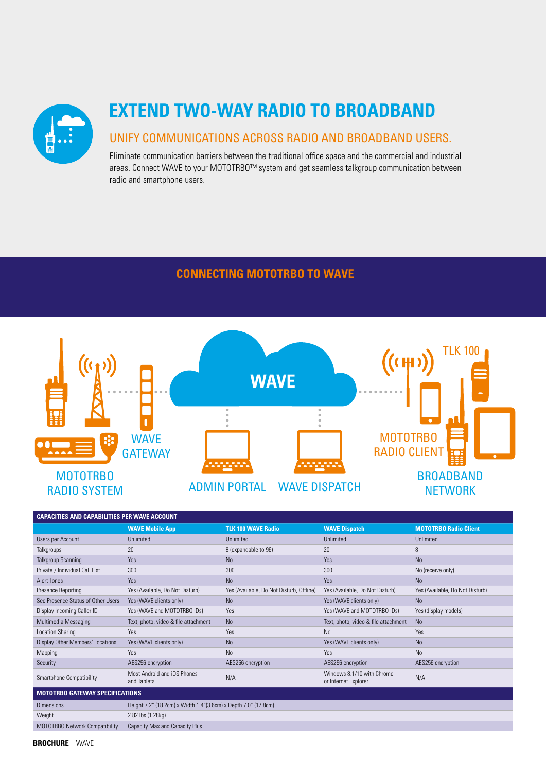

# **EXTEND TWO-WAY RADIO TO BROADBAND**

#### UNIFY COMMUNICATIONS ACROSS RADIO AND BROADBAND USERS.

Eliminate communication barriers between the traditional office space and the commercial and industrial areas. Connect WAVE to your MOTOTRBO™ system and get seamless talkgroup communication between radio and smartphone users.

#### **CONNECTING MOTOTRBO TO WAVE**



| <b>CAPACITIES AND CAPABILITIES PER WAVE ACCOUNT</b> |                                                                 |                                          |                                                    |                                 |  |  |  |
|-----------------------------------------------------|-----------------------------------------------------------------|------------------------------------------|----------------------------------------------------|---------------------------------|--|--|--|
|                                                     | <b>WAVE Mobile App</b>                                          | <b>TLK 100 WAVE Radio</b>                | <b>WAVE Dispatch</b>                               | <b>MOTOTRBO Radio Client</b>    |  |  |  |
| Users per Account                                   | <b>Unlimited</b>                                                | Unlimited                                | Unlimited                                          | Unlimited                       |  |  |  |
| Talkgroups                                          | 20                                                              | 8 (expandable to 96)                     | 20                                                 | 8                               |  |  |  |
| <b>Talkgroup Scanning</b>                           | Yes                                                             | <b>No</b>                                | Yes                                                | <b>No</b>                       |  |  |  |
| Private / Individual Call List                      | 300                                                             | 300                                      | 300                                                | No (receive only)               |  |  |  |
| <b>Alert Tones</b>                                  | Yes                                                             | <b>No</b>                                | Yes                                                | <b>No</b>                       |  |  |  |
| <b>Presence Reporting</b>                           | Yes (Available, Do Not Disturb)                                 | Yes (Available, Do Not Disturb, Offline) | Yes (Available, Do Not Disturb)                    | Yes (Available, Do Not Disturb) |  |  |  |
| See Presence Status of Other Users                  | Yes (WAVE clients only)                                         | <b>No</b>                                | Yes (WAVE clients only)                            | <b>No</b>                       |  |  |  |
| Display Incoming Caller ID                          | Yes (WAVE and MOTOTRBO IDs)                                     | Yes                                      | Yes (WAVE and MOTOTRBO IDs)                        | Yes (display models)            |  |  |  |
| Multimedia Messaging                                | Text, photo, video & file attachment                            | <b>No</b>                                | Text, photo, video & file attachment               | <b>No</b>                       |  |  |  |
| <b>Location Sharing</b>                             | Yes                                                             | Yes                                      | <b>No</b>                                          | Yes                             |  |  |  |
| Display Other Members' Locations                    | Yes (WAVE clients only)                                         | <b>No</b>                                | Yes (WAVE clients only)                            | <b>No</b>                       |  |  |  |
| Mapping                                             | Yes                                                             | <b>No</b>                                | Yes                                                | <b>No</b>                       |  |  |  |
| Security                                            | AES256 encryption                                               | AES256 encryption                        | AES256 encryption                                  | AES256 encryption               |  |  |  |
| Smartphone Compatibility                            | Most Android and iOS Phones<br>and Tablets                      | N/A                                      | Windows 8.1/10 with Chrome<br>or Internet Explorer | N/A                             |  |  |  |
| <b>MOTOTRBO GATEWAY SPECIFICATIONS</b>              |                                                                 |                                          |                                                    |                                 |  |  |  |
| <b>Dimensions</b>                                   | Height 7.2" (18.2cm) x Width 1.4" (3.6cm) x Depth 7.0" (17.8cm) |                                          |                                                    |                                 |  |  |  |
| Weight                                              | 2.82 lbs (1.28kg)                                               |                                          |                                                    |                                 |  |  |  |
| MOTOTRBO Network Compatibility                      | Capacity Max and Capacity Plus                                  |                                          |                                                    |                                 |  |  |  |

**BROCHURE**  WAVE